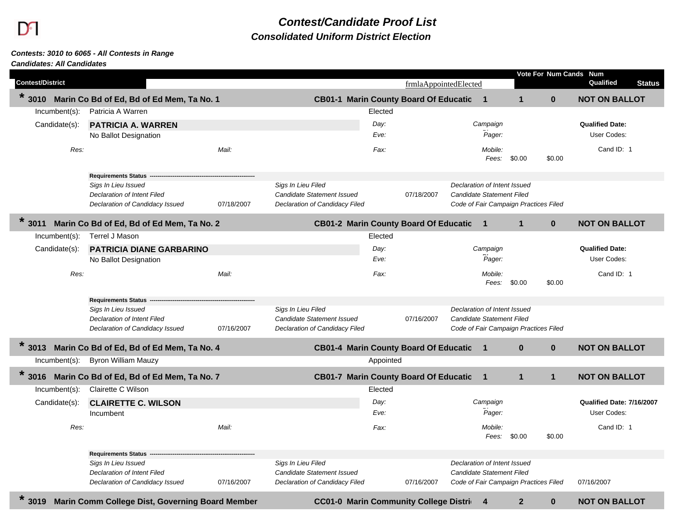## *Contest/Candidate Proof List Consolidated Uniform District Election*

## *Contests: 3010 to 6065 - All Contests in Range*

## *Candidates: All Candidates*

|                         |                                                 |            |                                |           |                                              |                              |                                       |              | Vote For Num Cands Num    |               |
|-------------------------|-------------------------------------------------|------------|--------------------------------|-----------|----------------------------------------------|------------------------------|---------------------------------------|--------------|---------------------------|---------------|
| <b>Contest/District</b> |                                                 |            |                                |           | frmlaAppointedElected                        |                              |                                       |              | Qualified                 | <b>Status</b> |
| $*3010$                 | Marin Co Bd of Ed, Bd of Ed Mem, Ta No. 1       |            |                                |           | CB01-1 Marin County Board Of Educatic 1      |                              | $\mathbf{1}$                          | $\mathbf{0}$ | <b>NOT ON BALLOT</b>      |               |
| Incumbent(s):           | Patricia A Warren                               |            |                                | Elected   |                                              |                              |                                       |              |                           |               |
| Candidate(s):           | <b>PATRICIA A. WARREN</b>                       |            |                                | Day:      |                                              | Campaign                     |                                       |              | <b>Qualified Date:</b>    |               |
|                         | No Ballot Designation                           |            |                                | Eve:      |                                              | Pager:                       |                                       |              | User Codes:               |               |
| Res:                    |                                                 | Mail:      |                                | Fax:      |                                              | Mobile:                      |                                       |              | Cand ID: 1                |               |
|                         |                                                 |            |                                |           |                                              | Fees:                        | \$0.00                                | \$0.00       |                           |               |
|                         | <b>Requirements Status</b>                      |            |                                |           |                                              |                              |                                       |              |                           |               |
|                         | Sigs In Lieu Issued                             |            | Sigs In Lieu Filed             |           |                                              | Declaration of Intent Issued |                                       |              |                           |               |
|                         | <b>Declaration of Intent Filed</b>              |            | Candidate Statement Issued     |           | 07/18/2007                                   | Candidate Statement Filed    |                                       |              |                           |               |
|                         | Declaration of Candidacy Issued                 | 07/18/2007 | Declaration of Candidacy Filed |           |                                              |                              | Code of Fair Campaign Practices Filed |              |                           |               |
| $*3011$                 | Marin Co Bd of Ed, Bd of Ed Mem, Ta No. 2       |            |                                |           | <b>CB01-2 Marin County Board Of Educatic</b> | $\blacksquare$               | $\mathbf{1}$                          | $\mathbf 0$  | <b>NOT ON BALLOT</b>      |               |
| $Incumbent(s)$ :        | Terrel J Mason                                  |            |                                | Elected   |                                              |                              |                                       |              |                           |               |
| Candidate(s):           | <b>PATRICIA DIANE GARBARINO</b>                 |            |                                | Day:      |                                              | Campaign                     |                                       |              | <b>Qualified Date:</b>    |               |
|                         | No Ballot Designation                           |            |                                | Eve:      |                                              | Pager:                       |                                       |              | User Codes:               |               |
| Res:                    |                                                 | Mail:      |                                | Fax:      |                                              | Mobile:                      |                                       |              | Cand ID: 1                |               |
|                         |                                                 |            |                                |           |                                              | Fees:                        | \$0.00                                | \$0.00       |                           |               |
|                         | <b>Requirements Status</b>                      |            |                                |           |                                              |                              |                                       |              |                           |               |
|                         | Sigs In Lieu Issued                             |            | Sigs In Lieu Filed             |           |                                              | Declaration of Intent Issued |                                       |              |                           |               |
|                         | Declaration of Intent Filed                     |            | Candidate Statement Issued     |           | 07/16/2007                                   | Candidate Statement Filed    |                                       |              |                           |               |
|                         | Declaration of Candidacy Issued                 | 07/16/2007 | Declaration of Candidacy Filed |           |                                              |                              | Code of Fair Campaign Practices Filed |              |                           |               |
| $*3013$                 | Marin Co Bd of Ed, Bd of Ed Mem, Ta No. 4       |            |                                |           | <b>CB01-4 Marin County Board Of Educatic</b> | $\overline{\mathbf{1}}$      | $\bf{0}$                              | $\mathbf{0}$ | <b>NOT ON BALLOT</b>      |               |
| $Incumbent(s)$ :        | <b>Byron William Mauzy</b>                      |            |                                | Appointed |                                              |                              |                                       |              |                           |               |
| $*3016$                 | Marin Co Bd of Ed, Bd of Ed Mem, Ta No. 7       |            |                                |           | <b>CB01-7 Marin County Board Of Educatic</b> | $\overline{\mathbf{1}}$      | $\mathbf{1}$                          | $\mathbf{1}$ | <b>NOT ON BALLOT</b>      |               |
| Incumbent(s):           | Clairette C Wilson                              |            |                                | Elected   |                                              |                              |                                       |              |                           |               |
| Candidate(s):           | <b>CLAIRETTE C. WILSON</b>                      |            |                                | Day:      |                                              | Campaign                     |                                       |              | Qualified Date: 7/16/2007 |               |
|                         | Incumbent                                       |            |                                | Eve:      |                                              | Pager:                       |                                       |              | User Codes:               |               |
| Res:                    |                                                 | Mail:      |                                | Fax:      |                                              | Mobile:                      |                                       |              | Cand ID: 1                |               |
|                         |                                                 |            |                                |           |                                              | Fees: \$0.00                 |                                       | \$0.00       |                           |               |
|                         | <b>Requirements Status</b>                      |            |                                |           |                                              |                              |                                       |              |                           |               |
|                         | Sigs In Lieu Issued                             |            | Sigs In Lieu Filed             |           |                                              | Declaration of Intent Issued |                                       |              |                           |               |
|                         | <b>Declaration of Intent Filed</b>              |            | Candidate Statement Issued     |           |                                              | Candidate Statement Filed    |                                       |              |                           |               |
|                         | Declaration of Candidacy Issued                 | 07/16/2007 | Declaration of Candidacy Filed |           | 07/16/2007                                   |                              | Code of Fair Campaign Practices Filed |              | 07/16/2007                |               |
| $*3019$                 | Marin Comm College Dist, Governing Board Member |            |                                |           | <b>CC01-0 Marin Community College Distri</b> | 4                            | $\mathbf{2}$                          | $\mathbf{0}$ | <b>NOT ON BALLOT</b>      |               |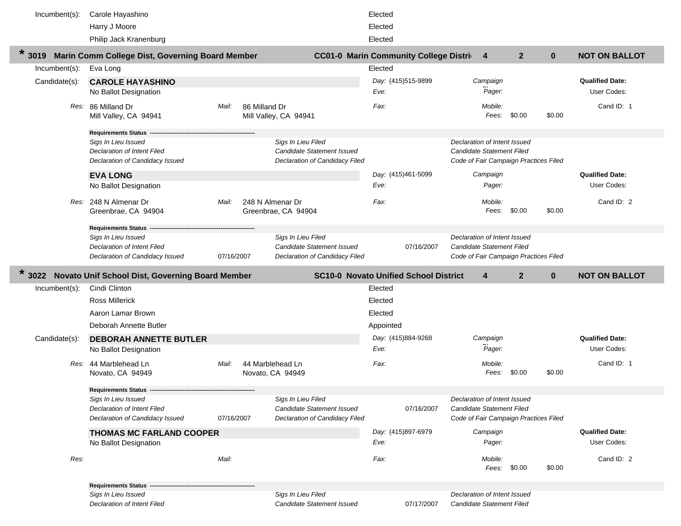| Incumbent(s):            | Carole Hayashino                                               |            |               |                                                              | Elected                    |            |                                                                           |                |              |                                       |
|--------------------------|----------------------------------------------------------------|------------|---------------|--------------------------------------------------------------|----------------------------|------------|---------------------------------------------------------------------------|----------------|--------------|---------------------------------------|
|                          | Harry J Moore                                                  |            |               |                                                              | Elected                    |            |                                                                           |                |              |                                       |
|                          | Philip Jack Kranenburg                                         |            |               |                                                              | Elected                    |            |                                                                           |                |              |                                       |
|                          | * 3019 Marin Comm College Dist, Governing Board Member         |            |               | <b>CC01-0 Marin Community College Distri</b>                 |                            |            | $\overline{4}$                                                            | 2 <sup>2</sup> | $\mathbf{0}$ | <b>NOT ON BALLOT</b>                  |
| Incumbent(s):            | Eva Long                                                       |            |               |                                                              | Elected                    |            |                                                                           |                |              |                                       |
| Candidate(s):            | <b>CAROLE HAYASHINO</b>                                        |            |               |                                                              | Day: (415)515-9899         |            | Campaign                                                                  |                |              | <b>Qualified Date:</b>                |
|                          | No Ballot Designation                                          |            |               |                                                              | Eve:                       |            | Pager:                                                                    |                |              | User Codes:                           |
|                          | Res: 86 Milland Dr                                             | Mail:      | 86 Milland Dr |                                                              | Fax:                       |            | Mobile:                                                                   |                |              | Cand ID: 1                            |
|                          | Mill Valley, CA 94941                                          |            |               | Mill Valley, CA 94941                                        |                            |            | Fees:                                                                     | \$0.00         | \$0.00       |                                       |
|                          | Requirements Status -                                          |            |               |                                                              |                            |            |                                                                           |                |              |                                       |
|                          | Sigs In Lieu Issued                                            |            |               | Sigs In Lieu Filed                                           |                            |            | Declaration of Intent Issued                                              |                |              |                                       |
|                          | Declaration of Intent Filed<br>Declaration of Candidacy Issued |            |               | Candidate Statement Issued<br>Declaration of Candidacy Filed |                            |            | <b>Candidate Statement Filed</b><br>Code of Fair Campaign Practices Filed |                |              |                                       |
|                          |                                                                |            |               |                                                              |                            |            |                                                                           |                |              |                                       |
|                          | <b>EVA LONG</b><br>No Ballot Designation                       |            |               |                                                              | Day: (415)461-5099<br>Eve: |            | Campaign<br>Pager:                                                        |                |              | <b>Qualified Date:</b><br>User Codes: |
|                          |                                                                |            |               |                                                              |                            |            |                                                                           |                |              |                                       |
|                          | Res: 248 N Almenar Dr                                          | Mail:      |               | 248 N Almenar Dr                                             | Fax:                       |            | Mobile:<br>Fees:                                                          | \$0.00         | \$0.00       | Cand ID: 2                            |
|                          | Greenbrae, CA 94904                                            |            |               | Greenbrae, CA 94904                                          |                            |            |                                                                           |                |              |                                       |
|                          | Requirements Status --                                         |            |               |                                                              |                            |            |                                                                           |                |              |                                       |
|                          | Sigs In Lieu Issued<br><b>Declaration of Intent Filed</b>      |            |               | Sigs In Lieu Filed<br>Candidate Statement Issued             |                            | 07/16/2007 | Declaration of Intent Issued<br><b>Candidate Statement Filed</b>          |                |              |                                       |
|                          | Declaration of Candidacy Issued                                | 07/16/2007 |               | Declaration of Candidacy Filed                               |                            |            | Code of Fair Campaign Practices Filed                                     |                |              |                                       |
|                          |                                                                |            |               |                                                              |                            |            |                                                                           |                |              |                                       |
|                          | Novato Unif School Dist, Governing Board Member                |            |               | <b>SC10-0 Novato Unified School District</b>                 |                            |            | $\overline{4}$                                                            | $\overline{2}$ | $\mathbf{0}$ | <b>NOT ON BALLOT</b>                  |
| $*3022$<br>Incumbent(s): | Cindi Clinton                                                  |            |               |                                                              | Elected                    |            |                                                                           |                |              |                                       |
|                          | <b>Ross Millerick</b>                                          |            |               |                                                              | Elected                    |            |                                                                           |                |              |                                       |
|                          | Aaron Lamar Brown                                              |            |               |                                                              | Elected                    |            |                                                                           |                |              |                                       |
|                          | Deborah Annette Butler                                         |            |               |                                                              | Appointed                  |            |                                                                           |                |              |                                       |
| Candidate(s):            | <b>DEBORAH ANNETTE BUTLER</b>                                  |            |               |                                                              | Day: (415)884-9268         |            | Campaign                                                                  |                |              | <b>Qualified Date:</b>                |
|                          | No Ballot Designation                                          |            |               |                                                              | Eve:                       |            | Pager:                                                                    |                |              | User Codes:                           |
|                          | Res: 44 Marblehead Ln                                          | Mail:      |               | 44 Marblehead Ln                                             | Fax:                       |            | Mobile:                                                                   |                |              | Cand ID: 1                            |
|                          | Novato, CA 94949                                               |            |               | Novato, CA 94949                                             |                            |            | Fees:                                                                     | \$0.00         | \$0.00       |                                       |
|                          | <b>Requirements Status ---</b>                                 |            |               |                                                              |                            |            |                                                                           |                |              |                                       |
|                          | Sigs In Lieu Issued                                            |            |               | Sigs In Lieu Filed                                           |                            |            | Declaration of Intent Issued                                              |                |              |                                       |
|                          | Declaration of Intent Filed                                    |            |               | Candidate Statement Issued                                   |                            | 07/16/2007 | <b>Candidate Statement Filed</b>                                          |                |              |                                       |
|                          | Declaration of Candidacy Issued                                | 07/16/2007 |               | Declaration of Candidacy Filed                               |                            |            | Code of Fair Campaign Practices Filed                                     |                |              |                                       |
|                          | <b>THOMAS MC FARLAND COOPER</b>                                |            |               |                                                              | Day: (415)897-6979         |            | Campaign                                                                  |                |              | <b>Qualified Date:</b>                |
|                          | No Ballot Designation                                          |            |               |                                                              | Eve:                       |            | Pager:                                                                    |                |              | User Codes:                           |
| Res:                     |                                                                | Mail:      |               |                                                              | Fax:                       |            | Mobile:                                                                   |                |              | Cand ID: 2                            |
|                          |                                                                |            |               |                                                              |                            |            | Fees:                                                                     | \$0.00         | \$0.00       |                                       |
|                          | <b>Requirements Status -</b><br>Sigs In Lieu Issued            |            |               | Sigs In Lieu Filed                                           |                            |            | Declaration of Intent Issued                                              |                |              |                                       |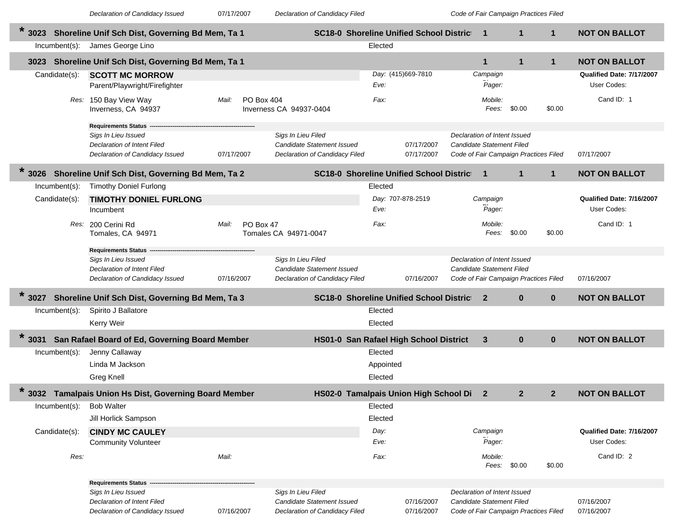*Declaration of Candidacy Issued* 07/17/2007 *Declaration of Candidacy Filed Code of Fair Campaign Practices Filed*

| *<br>3023        | Shoreline Unif Sch Dist, Governing Bd Mem, Ta 1                                                                            |                     |                                                                                    | <b>SC18-0 Shoreline Unified School District</b> |                          | $\mathbf 1$                                                                                        | 1            | $\mathbf 1$  | <b>NOT ON BALLOT</b>                     |
|------------------|----------------------------------------------------------------------------------------------------------------------------|---------------------|------------------------------------------------------------------------------------|-------------------------------------------------|--------------------------|----------------------------------------------------------------------------------------------------|--------------|--------------|------------------------------------------|
| $Incumbent(s)$ : | James George Lino                                                                                                          |                     |                                                                                    | Elected                                         |                          |                                                                                                    |              |              |                                          |
|                  | 3023 Shoreline Unif Sch Dist, Governing Bd Mem, Ta 1                                                                       |                     |                                                                                    |                                                 |                          | $\mathbf 1$                                                                                        | $\mathbf{1}$ | $\mathbf{1}$ | <b>NOT ON BALLOT</b>                     |
| Candidate(s):    | <b>SCOTT MC MORROW</b><br>Parent/Playwright/Firefighter                                                                    |                     |                                                                                    | Eve:                                            | Day: (415)669-7810       | Campaign<br>Pager:                                                                                 |              |              | Qualified Date: 7/17/2007<br>User Codes: |
|                  | Res: 150 Bay View Way<br>Inverness, CA 94937                                                                               | PO Box 404<br>Mail: | Inverness CA 94937-0404                                                            | Fax:                                            |                          | Mobile:<br>Fees:                                                                                   | \$0.00       | \$0.00       | Cand ID: 1                               |
|                  | <b>Requirements Status</b><br>Sigs In Lieu Issued<br><b>Declaration of Intent Filed</b><br>Declaration of Candidacy Issued | 07/17/2007          | Sigs In Lieu Filed<br>Candidate Statement Issued<br>Declaration of Candidacy Filed |                                                 | 07/17/2007<br>07/17/2007 | Declaration of Intent Issued<br>Candidate Statement Filed<br>Code of Fair Campaign Practices Filed |              |              | 07/17/2007                               |
| 3026             | Shoreline Unif Sch Dist, Governing Bd Mem, Ta 2                                                                            |                     |                                                                                    | <b>SC18-0 Shoreline Unified School District</b> |                          | 1                                                                                                  | $\mathbf{1}$ | $\mathbf{1}$ | <b>NOT ON BALLOT</b>                     |
| $Incumbent(s)$ : | <b>Timothy Doniel Furlong</b>                                                                                              |                     |                                                                                    | Elected                                         |                          |                                                                                                    |              |              |                                          |
| Candidate(s):    | <b>TIMOTHY DONIEL FURLONG</b><br>Incumbent                                                                                 |                     |                                                                                    | Eve:                                            | Day: 707-878-2519        | Campaign<br>Pager:                                                                                 |              |              | Qualified Date: 7/16/2007<br>User Codes: |
|                  | Res: 200 Cerini Rd<br>Tomales, CA 94971                                                                                    | Mail:<br>PO Box 47  | Tomales CA 94971-0047                                                              | Fax:                                            |                          | Mobile:<br>Fees:                                                                                   | \$0.00       | \$0.00       | Cand ID: 1                               |
|                  | <b>Requirements Status</b><br>Sigs In Lieu Issued<br>Declaration of Intent Filed<br>Declaration of Candidacy Issued        | 07/16/2007          | Sigs In Lieu Filed<br>Candidate Statement Issued<br>Declaration of Candidacy Filed |                                                 | 07/16/2007               | Declaration of Intent Issued<br>Candidate Statement Filed<br>Code of Fair Campaign Practices Filed |              |              | 07/16/2007                               |
| 3027             | Shoreline Unif Sch Dist, Governing Bd Mem, Ta 3                                                                            |                     |                                                                                    | <b>SC18-0 Shoreline Unified School District</b> |                          | $\mathbf{2}$                                                                                       | $\bf{0}$     | $\mathbf{0}$ | <b>NOT ON BALLOT</b>                     |
| $Incumbent(s)$ : | Spirito J Ballatore                                                                                                        |                     |                                                                                    | Elected                                         |                          |                                                                                                    |              |              |                                          |
|                  | <b>Kerry Weir</b>                                                                                                          |                     |                                                                                    | Elected                                         |                          |                                                                                                    |              |              |                                          |
| $\star$<br>3031  | San Rafael Board of Ed, Governing Board Member                                                                             |                     |                                                                                    | HS01-0 San Rafael High School District          |                          | 3                                                                                                  | $\bf{0}$     | $\mathbf{0}$ | <b>NOT ON BALLOT</b>                     |
| $Incumbent(s)$ : | Jenny Callaway                                                                                                             |                     |                                                                                    | Elected                                         |                          |                                                                                                    |              |              |                                          |
|                  | Linda M Jackson                                                                                                            |                     |                                                                                    | Appointed                                       |                          |                                                                                                    |              |              |                                          |
|                  | Greg Knell                                                                                                                 |                     |                                                                                    | Elected                                         |                          |                                                                                                    |              |              |                                          |
| 3032             | Tamalpais Union Hs Dist, Governing Board Member                                                                            |                     |                                                                                    | HS02-0 Tamalpais Union High School Di           |                          | $\mathbf{2}$                                                                                       | $\mathbf{2}$ | $\mathbf{2}$ | <b>NOT ON BALLOT</b>                     |
| $Incumbent(s)$ : | <b>Bob Walter</b>                                                                                                          |                     |                                                                                    | Elected                                         |                          |                                                                                                    |              |              |                                          |
|                  | Jill Horlick Sampson                                                                                                       |                     |                                                                                    | Elected                                         |                          |                                                                                                    |              |              |                                          |
| Candidate(s):    | <b>CINDY MC CAULEY</b>                                                                                                     |                     |                                                                                    | Day:                                            |                          | Campaign                                                                                           |              |              | Qualified Date: 7/16/2007                |
|                  | <b>Community Volunteer</b>                                                                                                 |                     |                                                                                    | Eve:                                            |                          | Pager:                                                                                             |              |              | User Codes:                              |
| Res:             |                                                                                                                            | Mail:               |                                                                                    | Fax:                                            |                          | Mobile:<br>Fees:                                                                                   | \$0.00       | \$0.00       | Cand ID: 2                               |
|                  | <b>Requirements Status</b>                                                                                                 |                     |                                                                                    |                                                 |                          |                                                                                                    |              |              |                                          |
|                  | Sigs In Lieu Issued<br>Declaration of Intent Filed<br>Declaration of Candidacy Issued                                      | 07/16/2007          | Sigs In Lieu Filed<br>Candidate Statement Issued<br>Declaration of Candidacy Filed |                                                 | 07/16/2007<br>07/16/2007 | Declaration of Intent Issued<br>Candidate Statement Filed<br>Code of Fair Campaign Practices Filed |              |              | 07/16/2007<br>07/16/2007                 |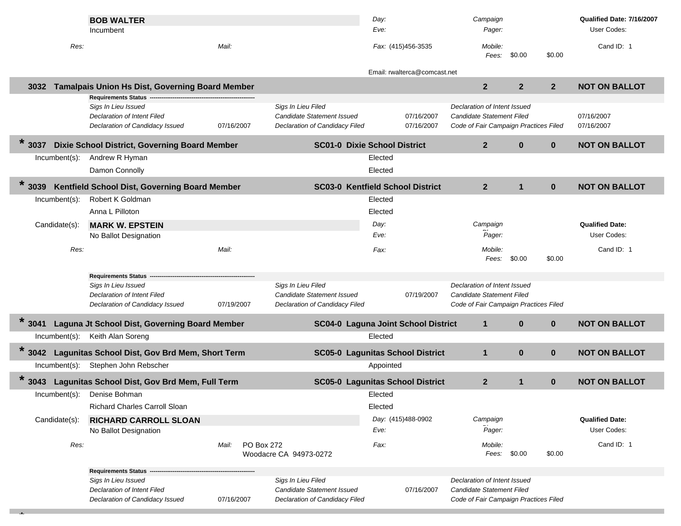|                 | <b>BOB WALTER</b><br>Incumbent                                     |                     |                                                              | Day:<br>Eve: |                              | Campaign<br>Pager:                                                 |                |                | Qualified Date: 7/16/2007<br>User Codes: |
|-----------------|--------------------------------------------------------------------|---------------------|--------------------------------------------------------------|--------------|------------------------------|--------------------------------------------------------------------|----------------|----------------|------------------------------------------|
| Res:            |                                                                    | Mail:               |                                                              |              | Fax: (415)456-3535           | Mobile:<br>Fees:                                                   | \$0.00         | \$0.00         | Cand ID: 1                               |
|                 |                                                                    |                     |                                                              |              | Email: rwalterca@comcast.net |                                                                    |                |                |                                          |
| 3032            | <b>Tamalpais Union Hs Dist, Governing Board Member</b>             |                     |                                                              |              |                              | $\mathbf{2}$                                                       | $\overline{2}$ | 2 <sup>2</sup> | <b>NOT ON BALLOT</b>                     |
|                 | Requirements Status ---<br>Sigs In Lieu Issued                     |                     | Sigs In Lieu Filed                                           |              |                              | Declaration of Intent Issued                                       |                |                |                                          |
|                 | Declaration of Intent Filed                                        |                     | Candidate Statement Issued                                   |              | 07/16/2007                   | <b>Candidate Statement Filed</b>                                   |                |                | 07/16/2007                               |
|                 | Declaration of Candidacy Issued                                    | 07/16/2007          | <b>Declaration of Candidacy Filed</b>                        |              | 07/16/2007                   | Code of Fair Campaign Practices Filed                              |                |                | 07/16/2007                               |
| $*3037$         | Dixie School District, Governing Board Member                      |                     | <b>SC01-0 Dixie School District</b>                          |              |                              | $\overline{2}$                                                     | $\mathbf{0}$   | $\mathbf{0}$   | <b>NOT ON BALLOT</b>                     |
| Incumbent(s):   | Andrew R Hyman                                                     |                     |                                                              | Elected      |                              |                                                                    |                |                |                                          |
|                 | Damon Connolly                                                     |                     |                                                              | Elected      |                              |                                                                    |                |                |                                          |
| $*3039$         | Kentfield School Dist, Governing Board Member                      |                     | SC03-0 Kentfield School District                             |              |                              | $\mathbf{2}$                                                       | $\mathbf{1}$   | $\bf{0}$       | <b>NOT ON BALLOT</b>                     |
| Incumbent(s):   | Robert K Goldman                                                   |                     |                                                              | Elected      |                              |                                                                    |                |                |                                          |
|                 | Anna L Pilloton                                                    |                     |                                                              | Elected      |                              |                                                                    |                |                |                                          |
| Candidate(s):   | <b>MARK W. EPSTEIN</b><br>No Ballot Designation                    |                     |                                                              | Day:<br>Eve: |                              | Campaign<br>Pager:                                                 |                |                | <b>Qualified Date:</b><br>User Codes:    |
| Res:            |                                                                    | Mail:               |                                                              | Fax:         |                              | Mobile:                                                            |                |                | Cand ID: 1                               |
|                 |                                                                    |                     |                                                              |              |                              | Fees:                                                              | \$0.00         | \$0.00         |                                          |
|                 | <b>Requirements Status</b>                                         |                     |                                                              |              |                              |                                                                    |                |                |                                          |
|                 | Sigs In Lieu Issued                                                |                     | Sigs In Lieu Filed                                           |              |                              | Declaration of Intent Issued                                       |                |                |                                          |
|                 | Declaration of Intent Filed<br>Declaration of Candidacy Issued     | 07/19/2007          | Candidate Statement Issued<br>Declaration of Candidacy Filed |              | 07/19/2007                   | Candidate Statement Filed<br>Code of Fair Campaign Practices Filed |                |                |                                          |
| $\star$         |                                                                    |                     |                                                              |              |                              |                                                                    |                |                |                                          |
| 3041            | Laguna Jt School Dist, Governing Board Member<br>Keith Alan Soreng |                     | SC04-0 Laguna Joint School District                          | Elected      |                              | $\mathbf{1}$                                                       | $\mathbf{0}$   | $\mathbf{0}$   | <b>NOT ON BALLOT</b>                     |
| Incumbent(s):   |                                                                    |                     |                                                              |              |                              |                                                                    |                |                |                                          |
| $*3042$         | Lagunitas School Dist, Gov Brd Mem, Short Term                     |                     | <b>SC05-0 Lagunitas School District</b>                      |              |                              | $\mathbf{1}$                                                       | $\mathbf 0$    | $\mathbf{0}$   | <b>NOT ON BALLOT</b>                     |
| Incumbent(s):   | Stephen John Rebscher                                              |                     |                                                              | Appointed    |                              |                                                                    |                |                |                                          |
| $\star$<br>3043 | Lagunitas School Dist, Gov Brd Mem, Full Term                      |                     | <b>SC05-0 Lagunitas School District</b>                      |              |                              | $\mathbf{2}$                                                       | $\mathbf{1}$   | $\mathbf{0}$   | <b>NOT ON BALLOT</b>                     |
|                 | Incumbent(s): Denise Bohman                                        |                     |                                                              | Elected      |                              |                                                                    |                |                |                                          |
|                 | <b>Richard Charles Carroll Sloan</b>                               |                     |                                                              | Elected      |                              |                                                                    |                |                |                                          |
| Candidate(s):   | <b>RICHARD CARROLL SLOAN</b><br>No Ballot Designation              |                     |                                                              | Eve:         | Day: (415)488-0902           | Campaign<br>Pager:                                                 |                |                | <b>Qualified Date:</b><br>User Codes:    |
| Res:            |                                                                    | Mail:<br>PO Box 272 |                                                              | Fax:         |                              | Mobile:                                                            |                |                | Cand ID: 1                               |
|                 |                                                                    |                     | Woodacre CA 94973-0272                                       |              |                              | Fees:                                                              | \$0.00         | \$0.00         |                                          |
|                 | <b>Requirements Status</b>                                         |                     |                                                              |              |                              |                                                                    |                |                |                                          |
|                 | Sigs In Lieu Issued                                                |                     | Sigs In Lieu Filed                                           |              |                              | Declaration of Intent Issued                                       |                |                |                                          |
|                 | Declaration of Intent Filed<br>Declaration of Candidacy Issued     | 07/16/2007          | Candidate Statement Issued<br>Declaration of Candidacy Filed |              | 07/16/2007                   | Candidate Statement Filed<br>Code of Fair Campaign Practices Filed |                |                |                                          |
|                 |                                                                    |                     |                                                              |              |                              |                                                                    |                |                |                                          |

**\***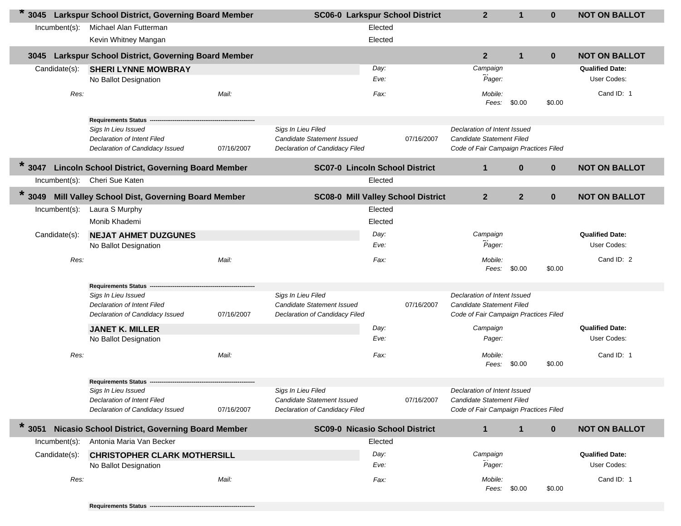| 3045             | Larkspur School District, Governing Board Member                      | <b>SC06-0 Larkspur School District</b> | $\mathbf{2}$                                                 | $\mathbf{1}$ | $\bf{0}$   | <b>NOT ON BALLOT</b>                                               |              |              |                        |
|------------------|-----------------------------------------------------------------------|----------------------------------------|--------------------------------------------------------------|--------------|------------|--------------------------------------------------------------------|--------------|--------------|------------------------|
| $Incumbent(s)$ : | Michael Alan Futterman                                                |                                        |                                                              | Elected      |            |                                                                    |              |              |                        |
|                  | Kevin Whitney Mangan                                                  |                                        |                                                              | Elected      |            |                                                                    |              |              |                        |
| 3045             | Larkspur School District, Governing Board Member                      |                                        |                                                              |              |            | $\mathbf{2}$                                                       | $\mathbf{1}$ | $\mathbf{0}$ | <b>NOT ON BALLOT</b>   |
| Candidate(s):    | <b>SHERI LYNNE MOWBRAY</b>                                            |                                        |                                                              | Day:         |            | Campaign                                                           |              |              | <b>Qualified Date:</b> |
|                  | No Ballot Designation                                                 |                                        |                                                              | Eve:         |            | Pager:                                                             |              |              | User Codes:            |
| Res:             |                                                                       | Mail:                                  |                                                              | Fax:         |            | Mobile:<br>Fees:                                                   | \$0.00       | \$0.00       | Cand ID: 1             |
|                  | <b>Requirements Status</b>                                            |                                        |                                                              |              |            |                                                                    |              |              |                        |
|                  | Sigs In Lieu Issued<br>Declaration of Intent Filed                    |                                        | Sigs In Lieu Filed<br>Candidate Statement Issued             |              | 07/16/2007 | Declaration of Intent Issued<br>Candidate Statement Filed          |              |              |                        |
|                  | Declaration of Candidacy Issued                                       | 07/16/2007                             | Declaration of Candidacy Filed                               |              |            | Code of Fair Campaign Practices Filed                              |              |              |                        |
| $\ast$<br>3047   | <b>Lincoln School District, Governing Board Member</b>                |                                        | <b>SC07-0 Lincoln School District</b>                        |              |            | $\mathbf 1$                                                        | $\bf{0}$     | $\mathbf 0$  | <b>NOT ON BALLOT</b>   |
| Incumbent(s):    | Cheri Sue Katen                                                       |                                        |                                                              | Elected      |            |                                                                    |              |              |                        |
| $\star$<br>3049  | Mill Valley School Dist, Governing Board Member                       |                                        | <b>SC08-0 Mill Valley School District</b>                    |              |            | $\mathbf{2}$                                                       | $\mathbf{2}$ | $\mathbf 0$  | <b>NOT ON BALLOT</b>   |
| Incumbent(s):    | Laura S Murphy                                                        |                                        |                                                              | Elected      |            |                                                                    |              |              |                        |
|                  | Monib Khademi                                                         |                                        |                                                              | Elected      |            |                                                                    |              |              |                        |
| Candidate(s):    | <b>NEJAT AHMET DUZGUNES</b>                                           |                                        |                                                              | Day:         |            | Campaign                                                           |              |              | <b>Qualified Date:</b> |
|                  | No Ballot Designation                                                 |                                        |                                                              | Eve:         |            | Pager:                                                             |              |              | User Codes:            |
| Res:             |                                                                       | Mail:                                  |                                                              | Fax:         |            | Mobile:<br>Fees:                                                   | \$0.00       | \$0.00       | Cand ID: 2             |
|                  | <b>Requirements Status</b>                                            |                                        |                                                              |              |            |                                                                    |              |              |                        |
|                  | Sigs In Lieu Issued                                                   |                                        | Sigs In Lieu Filed                                           |              |            | Declaration of Intent Issued                                       |              |              |                        |
|                  | <b>Declaration of Intent Filed</b><br>Declaration of Candidacy Issued | 07/16/2007                             | Candidate Statement Issued<br>Declaration of Candidacy Filed |              | 07/16/2007 | Candidate Statement Filed<br>Code of Fair Campaign Practices Filed |              |              |                        |
|                  | <b>JANET K. MILLER</b>                                                |                                        |                                                              | Day:         |            | Campaign                                                           |              |              | <b>Qualified Date:</b> |
|                  | No Ballot Designation                                                 |                                        |                                                              | Eve:         |            | Pager:                                                             |              |              | User Codes:            |
|                  |                                                                       |                                        |                                                              |              |            |                                                                    |              |              |                        |
| Res:             |                                                                       | Mail:                                  |                                                              | Fax:         |            | Mobile:<br>Fees:                                                   | \$0.00       | \$0.00       | Cand ID: 1             |
|                  | <b>Requirements Status</b>                                            |                                        |                                                              |              |            |                                                                    |              |              |                        |
|                  | Sigs In Lieu Issued<br>Declaration of Intent Filed                    |                                        | Sigs In Lieu Filed<br>Candidate Statement Issued             |              | 07/16/2007 | Declaration of Intent Issued<br>Candidate Statement Filed          |              |              |                        |
|                  | Declaration of Candidacy Issued                                       | 07/16/2007                             | <b>Declaration of Candidacy Filed</b>                        |              |            | Code of Fair Campaign Practices Filed                              |              |              |                        |
| $\star$<br>3051  | Nicasio School District, Governing Board Member                       |                                        | <b>SC09-0 Nicasio School District</b>                        |              |            | $\mathbf{1}$                                                       | $\mathbf{1}$ | $\mathbf 0$  | <b>NOT ON BALLOT</b>   |
| Incumbent(s):    | Antonia Maria Van Becker                                              |                                        |                                                              | Elected      |            |                                                                    |              |              |                        |
| Candidate(s):    | <b>CHRISTOPHER CLARK MOTHERSILL</b>                                   |                                        |                                                              | Day:         |            | Campaign                                                           |              |              | <b>Qualified Date:</b> |
|                  | No Ballot Designation                                                 |                                        |                                                              | Eve:         |            | Pager:                                                             |              |              | User Codes:            |
| Res:             |                                                                       | Mail:                                  |                                                              | Fax:         |            | Mobile:<br>Fees:                                                   | \$0.00       | \$0.00       | Cand ID: 1             |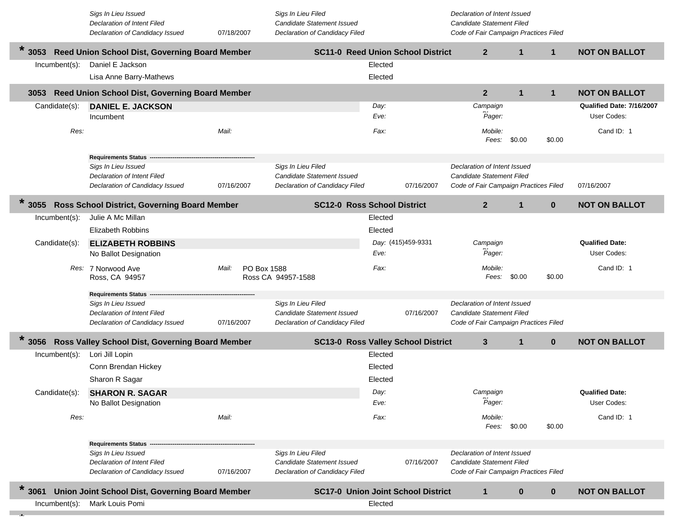|                  | Sigs In Lieu Issued<br>Declaration of Intent Filed             |                      | Sigs In Lieu Filed<br>Candidate Statement Issued             |              |                    | Declaration of Intent Issued<br><b>Candidate Statement Filed</b>          |              |              |                                       |
|------------------|----------------------------------------------------------------|----------------------|--------------------------------------------------------------|--------------|--------------------|---------------------------------------------------------------------------|--------------|--------------|---------------------------------------|
|                  | Declaration of Candidacy Issued                                | 07/18/2007           | Declaration of Candidacy Filed                               |              |                    | Code of Fair Campaign Practices Filed                                     |              |              |                                       |
| $\ast$<br>3053   | Reed Union School Dist, Governing Board Member                 |                      | <b>SC11-0 Reed Union School District</b>                     |              |                    | $\mathbf{2}$                                                              | $\mathbf{1}$ | $\mathbf{1}$ | <b>NOT ON BALLOT</b>                  |
| Incumbent(s):    | Daniel E Jackson                                               |                      |                                                              | Elected      |                    |                                                                           |              |              |                                       |
|                  | Lisa Anne Barry-Mathews                                        |                      |                                                              | Elected      |                    |                                                                           |              |              |                                       |
| 3053             | Reed Union School Dist, Governing Board Member                 |                      |                                                              |              |                    | $\mathbf{2}$                                                              | $\mathbf{1}$ | $\mathbf{1}$ | <b>NOT ON BALLOT</b>                  |
| Candidate(s):    | <b>DANIEL E. JACKSON</b>                                       |                      |                                                              | Day:         |                    | Campaign                                                                  |              |              | Qualified Date: 7/16/2007             |
|                  | Incumbent                                                      |                      |                                                              | Eve:         |                    | Pager:                                                                    |              |              | User Codes:                           |
| Res:             |                                                                | Mail:                |                                                              | Fax:         |                    | Mobile:<br>Fees:                                                          | \$0.00       | \$0.00       | Cand ID: 1                            |
|                  | <b>Requirements Status</b>                                     |                      |                                                              |              |                    |                                                                           |              |              |                                       |
|                  | Sigs In Lieu Issued<br>Declaration of Intent Filed             |                      | Sigs In Lieu Filed<br>Candidate Statement Issued             |              |                    | Declaration of Intent Issued<br><b>Candidate Statement Filed</b>          |              |              |                                       |
|                  | Declaration of Candidacy Issued                                | 07/16/2007           | Declaration of Candidacy Filed                               |              | 07/16/2007         | Code of Fair Campaign Practices Filed                                     |              |              | 07/16/2007                            |
|                  |                                                                |                      |                                                              |              |                    |                                                                           |              |              |                                       |
| 3055             | Ross School District, Governing Board Member                   |                      | <b>SC12-0 Ross School District</b>                           |              |                    | $\overline{2}$                                                            | $\mathbf{1}$ | $\bf{0}$     | <b>NOT ON BALLOT</b>                  |
| Incumbent(s):    | Julie A Mc Millan                                              |                      |                                                              | Elected      |                    |                                                                           |              |              |                                       |
|                  | <b>Elizabeth Robbins</b>                                       |                      |                                                              | Elected      |                    |                                                                           |              |              |                                       |
| Candidate(s):    | <b>ELIZABETH ROBBINS</b><br>No Ballot Designation              |                      |                                                              | Eve:         | Day: (415)459-9331 | Campaign<br>Pager:                                                        |              |              | <b>Qualified Date:</b><br>User Codes: |
|                  | Res: 7 Norwood Ave<br>Ross, CA 94957                           | PO Box 1588<br>Mail: | Ross CA 94957-1588                                           | Fax:         |                    | Mobile:<br>Fees:                                                          | \$0.00       | \$0.00       | Cand ID: 1                            |
|                  | <b>Requirements Status</b>                                     |                      |                                                              |              |                    |                                                                           |              |              |                                       |
|                  | Sigs In Lieu Issued                                            |                      | Sigs In Lieu Filed                                           |              |                    | Declaration of Intent Issued                                              |              |              |                                       |
|                  | Declaration of Intent Filed<br>Declaration of Candidacy Issued | 07/16/2007           | Candidate Statement Issued<br>Declaration of Candidacy Filed |              | 07/16/2007         | <b>Candidate Statement Filed</b><br>Code of Fair Campaign Practices Filed |              |              |                                       |
| $\ast$           |                                                                |                      |                                                              |              |                    |                                                                           |              |              |                                       |
| 3056             | Ross Valley School Dist, Governing Board Member                |                      | <b>SC13-0 Ross Valley School District</b>                    |              |                    | $\mathbf{3}$                                                              | $\mathbf{1}$ | $\bf{0}$     | <b>NOT ON BALLOT</b>                  |
| Incumbent(s):    | Lori Jill Lopin                                                |                      |                                                              | Elected      |                    |                                                                           |              |              |                                       |
|                  | Conn Brendan Hickey                                            |                      |                                                              | Elected      |                    |                                                                           |              |              |                                       |
|                  | Sharon R Sagar                                                 |                      |                                                              | Elected      |                    |                                                                           |              |              |                                       |
| Candidate(s):    | <b>SHARON R. SAGAR</b><br>No Ballot Designation                |                      |                                                              | Day:<br>Eve: |                    | Campaign<br>Pager:                                                        |              |              | <b>Qualified Date:</b><br>User Codes: |
|                  |                                                                |                      |                                                              |              |                    |                                                                           |              |              |                                       |
| Res:             |                                                                | Mail:                |                                                              | Fax:         |                    | Mobile:                                                                   | Fees: \$0.00 | \$0.00       | Cand ID: 1                            |
|                  | Requirements Status -                                          |                      |                                                              |              |                    |                                                                           |              |              |                                       |
|                  | Sigs In Lieu Issued                                            |                      | Sigs In Lieu Filed                                           |              |                    | Declaration of Intent Issued                                              |              |              |                                       |
|                  | Declaration of Intent Filed                                    |                      | Candidate Statement Issued                                   |              | 07/16/2007         | <b>Candidate Statement Filed</b>                                          |              |              |                                       |
|                  | Declaration of Candidacy Issued                                | 07/16/2007           | Declaration of Candidacy Filed                               |              |                    | Code of Fair Campaign Practices Filed                                     |              |              |                                       |
| $\ast$<br>3061   | Union Joint School Dist, Governing Board Member                |                      | <b>SC17-0 Union Joint School District</b>                    |              |                    | $\mathbf 1$                                                               | $\bf{0}$     | $\bf{0}$     | <b>NOT ON BALLOT</b>                  |
| $Incumbent(s)$ : | Mark Louis Pomi                                                |                      |                                                              | Elected      |                    |                                                                           |              |              |                                       |
|                  |                                                                |                      |                                                              |              |                    |                                                                           |              |              |                                       |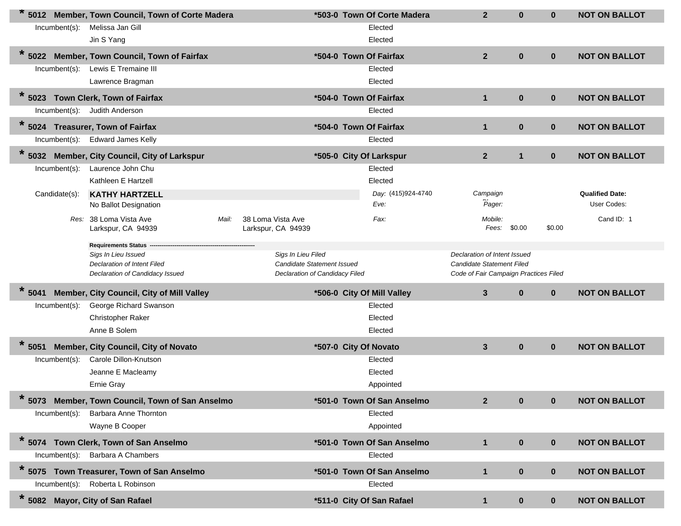|                  | 5012 Member, Town Council, Town of Corte Madera           |                                                  |                                | *503-0 Town Of Corte Madera | $\overline{2}$                        | $\bf{0}$     | $\mathbf{0}$ | <b>NOT ON BALLOT</b>   |
|------------------|-----------------------------------------------------------|--------------------------------------------------|--------------------------------|-----------------------------|---------------------------------------|--------------|--------------|------------------------|
| Incumbent(s):    | Melissa Jan Gill                                          |                                                  |                                | Elected                     |                                       |              |              |                        |
|                  | Jin S Yang                                                |                                                  |                                | Elected                     |                                       |              |              |                        |
| $\ast$<br>5022   | Member, Town Council, Town of Fairfax                     |                                                  |                                | *504-0 Town Of Fairfax      | $\overline{2}$                        | $\bf{0}$     | $\mathbf{0}$ | <b>NOT ON BALLOT</b>   |
| Incumbent(s):    | Lewis E Tremaine III                                      |                                                  |                                | Elected                     |                                       |              |              |                        |
|                  | Lawrence Bragman                                          |                                                  |                                | Elected                     |                                       |              |              |                        |
| $\ast$<br>5023   | Town Clerk, Town of Fairfax                               |                                                  |                                | *504-0 Town Of Fairfax      | $\mathbf{1}$                          | $\bf{0}$     | $\mathbf{0}$ | <b>NOT ON BALLOT</b>   |
|                  | Incumbent(s): Judith Anderson                             |                                                  |                                | Elected                     |                                       |              |              |                        |
| $* 5024$         | <b>Treasurer, Town of Fairfax</b>                         |                                                  |                                | *504-0 Town Of Fairfax      | $\mathbf{1}$                          | $\bf{0}$     | $\mathbf 0$  | <b>NOT ON BALLOT</b>   |
| Incumbent(s):    | <b>Edward James Kelly</b>                                 |                                                  |                                | Elected                     |                                       |              |              |                        |
| $* 5032$         | Member, City Council, City of Larkspur                    |                                                  |                                | *505-0 City Of Larkspur     | 2 <sup>2</sup>                        | $\mathbf{1}$ | $\mathbf 0$  | <b>NOT ON BALLOT</b>   |
| $Incumbent(s)$ : | Laurence John Chu                                         |                                                  |                                | Elected                     |                                       |              |              |                        |
|                  | Kathleen E Hartzell                                       |                                                  |                                | Elected                     |                                       |              |              |                        |
| Candidate(s):    | <b>KATHY HARTZELL</b>                                     |                                                  |                                | Day: (415)924-4740          | Campaign                              |              |              | <b>Qualified Date:</b> |
|                  | No Ballot Designation                                     |                                                  |                                | Eve:                        | Pager:                                |              |              | User Codes:            |
|                  | Res: 38 Loma Vista Ave<br>Larkspur, CA 94939              | Mail:<br>38 Loma Vista Ave<br>Larkspur, CA 94939 |                                | Fax:                        | Mobile:<br>Fees:                      | \$0.00       | \$0.00       | Cand ID: 1             |
|                  |                                                           |                                                  |                                |                             |                                       |              |              |                        |
|                  | <b>Requirements Status</b>                                |                                                  | Sigs In Lieu Filed             |                             | Declaration of Intent Issued          |              |              |                        |
|                  | Sigs In Lieu Issued<br><b>Declaration of Intent Filed</b> |                                                  | Candidate Statement Issued     |                             |                                       |              |              |                        |
|                  |                                                           |                                                  |                                |                             | <b>Candidate Statement Filed</b>      |              |              |                        |
|                  | Declaration of Candidacy Issued                           |                                                  | Declaration of Candidacy Filed |                             | Code of Fair Campaign Practices Filed |              |              |                        |
| $*$ 5041         | Member, City Council, City of Mill Valley                 |                                                  |                                | *506-0 City Of Mill Valley  | $\mathbf{3}$                          | $\bf{0}$     | $\mathbf 0$  | <b>NOT ON BALLOT</b>   |
| Incumbent(s):    | George Richard Swanson                                    |                                                  |                                | Elected                     |                                       |              |              |                        |
|                  | Christopher Raker                                         |                                                  |                                | Elected                     |                                       |              |              |                        |
|                  | Anne B Solem                                              |                                                  |                                | Elected                     |                                       |              |              |                        |
| $*$ 5051         | Member, City Council, City of Novato                      |                                                  |                                | *507-0 City Of Novato       | $\mathbf{3}$                          | $\bf{0}$     | $\mathbf 0$  | <b>NOT ON BALLOT</b>   |
| $Incumbent(s)$ : | Carole Dillon-Knutson                                     |                                                  |                                | Elected                     |                                       |              |              |                        |
|                  | Jeanne E Macleamy                                         |                                                  |                                | Elected                     |                                       |              |              |                        |
|                  | <b>Ernie Gray</b>                                         |                                                  |                                | Appointed                   |                                       |              |              |                        |
| *<br>5073        | Member, Town Council, Town of San Anselmo                 |                                                  |                                | *501-0 Town Of San Anselmo  | $\overline{2}$                        | $\bf{0}$     | $\mathbf{0}$ | <b>NOT ON BALLOT</b>   |
| Incumbent(s):    | Barbara Anne Thornton                                     |                                                  |                                | Elected                     |                                       |              |              |                        |
|                  | Wayne B Cooper                                            |                                                  |                                | Appointed                   |                                       |              |              |                        |
|                  | * 5074 Town Clerk, Town of San Anselmo                    |                                                  |                                | *501-0 Town Of San Anselmo  | $\mathbf 1$                           | $\bf{0}$     | $\mathbf 0$  | <b>NOT ON BALLOT</b>   |
| Incumbent(s):    | Barbara A Chambers                                        |                                                  |                                | Elected                     |                                       |              |              |                        |
|                  | Town Treasurer, Town of San Anselmo                       |                                                  |                                | *501-0 Town Of San Anselmo  | $\mathbf{1}$                          | $\bf{0}$     | $\mathbf 0$  | <b>NOT ON BALLOT</b>   |
| $*$ 5075         | Incumbent(s): Roberta L Robinson                          |                                                  |                                | Elected                     |                                       |              |              |                        |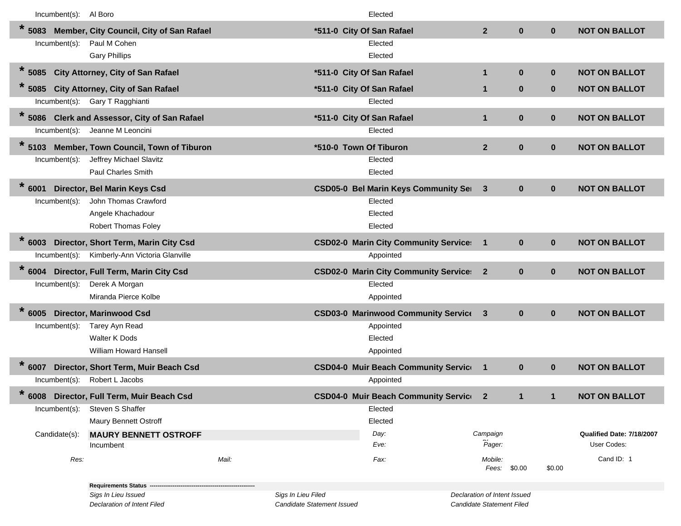|                 | Incumbent(s): Al Boro |                                               |       |                            | Elected                                      |                              |              |              |                           |
|-----------------|-----------------------|-----------------------------------------------|-------|----------------------------|----------------------------------------------|------------------------------|--------------|--------------|---------------------------|
| $\star$<br>5083 |                       | Member, City Council, City of San Rafael      |       |                            | *511-0 City Of San Rafael                    | 2 <sup>1</sup>               | $\bf{0}$     | $\mathbf{0}$ | <b>NOT ON BALLOT</b>      |
|                 | Incumbent(s):         | Paul M Cohen                                  |       |                            | Elected                                      |                              |              |              |                           |
|                 |                       | <b>Gary Phillips</b>                          |       |                            | Elected                                      |                              |              |              |                           |
| $\ast$<br>5085  |                       | City Attorney, City of San Rafael             |       |                            | *511-0 City Of San Rafael                    | $\mathbf{1}$                 | $\bf{0}$     | $\mathbf 0$  | <b>NOT ON BALLOT</b>      |
| $\star$<br>5085 |                       | City Attorney, City of San Rafael             |       |                            | *511-0 City Of San Rafael                    | 1                            | $\bf{0}$     | $\mathbf{0}$ | <b>NOT ON BALLOT</b>      |
|                 | Incumbent(s):         | Gary T Ragghianti                             |       |                            | Elected                                      |                              |              |              |                           |
| $\star$<br>5086 |                       | <b>Clerk and Assessor, City of San Rafael</b> |       |                            | *511-0 City Of San Rafael                    | $\mathbf{1}$                 | $\bf{0}$     | $\mathbf{0}$ | <b>NOT ON BALLOT</b>      |
|                 | Incumbent(s):         | Jeanne M Leoncini                             |       |                            | Elected                                      |                              |              |              |                           |
| $\star$<br>5103 |                       | Member, Town Council, Town of Tiburon         |       |                            | *510-0 Town Of Tiburon                       | 2 <sup>1</sup>               | $\bf{0}$     | $\mathbf{0}$ | <b>NOT ON BALLOT</b>      |
|                 | Incumbent(s):         | Jeffrey Michael Slavitz                       |       |                            | Elected                                      |                              |              |              |                           |
|                 |                       | <b>Paul Charles Smith</b>                     |       |                            | Elected                                      |                              |              |              |                           |
| $\ast$<br>6001  |                       | Director, Bel Marin Keys Csd                  |       |                            | <b>CSD05-0 Bel Marin Keys Community Ser</b>  | $\mathbf{3}$                 | $\bf{0}$     | $\mathbf 0$  | <b>NOT ON BALLOT</b>      |
|                 | Incumbent(s):         | John Thomas Crawford                          |       |                            | Elected                                      |                              |              |              |                           |
|                 |                       | Angele Khachadour                             |       |                            | Elected                                      |                              |              |              |                           |
|                 |                       | <b>Robert Thomas Foley</b>                    |       |                            | Elected                                      |                              |              |              |                           |
| $\ast$<br>6003  |                       | Director, Short Term, Marin City Csd          |       |                            | <b>CSD02-0 Marin City Community Service:</b> | $\mathbf{1}$                 | $\bf{0}$     | $\mathbf{0}$ | <b>NOT ON BALLOT</b>      |
|                 | Incumbent(s):         | Kimberly-Ann Victoria Glanville               |       |                            | Appointed                                    |                              |              |              |                           |
| $\star$<br>6004 |                       | Director, Full Term, Marin City Csd           |       |                            | <b>CSD02-0 Marin City Community Service:</b> | $\mathbf{2}$                 | $\bf{0}$     | $\mathbf{0}$ | <b>NOT ON BALLOT</b>      |
|                 | Incumbent(s):         | Derek A Morgan                                |       |                            | Elected                                      |                              |              |              |                           |
|                 |                       | Miranda Pierce Kolbe                          |       |                            | Appointed                                    |                              |              |              |                           |
| $\ast$<br>6005  |                       | <b>Director, Marinwood Csd</b>                |       |                            | <b>CSD03-0 Marinwood Community Service</b>   | $\mathbf{3}$                 | $\bf{0}$     | $\mathbf{0}$ | <b>NOT ON BALLOT</b>      |
|                 | Incumbent(s):         | Tarey Ayn Read                                |       |                            | Appointed                                    |                              |              |              |                           |
|                 |                       | <b>Walter K Dods</b>                          |       |                            | Elected                                      |                              |              |              |                           |
|                 |                       | <b>William Howard Hansell</b>                 |       |                            | Appointed                                    |                              |              |              |                           |
| $*$ 6007        |                       | Director, Short Term, Muir Beach Csd          |       |                            | <b>CSD04-0 Muir Beach Community Service</b>  | $\blacksquare$               | $\mathbf{0}$ | $\mathbf{0}$ | <b>NOT ON BALLOT</b>      |
|                 | Incumbent(s):         | Robert L Jacobs                               |       |                            | Appointed                                    |                              |              |              |                           |
| $\star$         |                       | 6008 Director, Full Term, Muir Beach Csd      |       |                            | <b>CSD04-0 Muir Beach Community Service</b>  | $\mathbf{2}$                 | $\mathbf{1}$ |              | <b>NOT ON BALLOT</b>      |
|                 | $Incumbent(s)$ :      | Steven S Shaffer                              |       |                            | Elected                                      |                              |              |              |                           |
|                 |                       | <b>Maury Bennett Ostroff</b>                  |       |                            | Elected                                      |                              |              |              |                           |
|                 | Candidate(s):         | <b>MAURY BENNETT OSTROFF</b>                  |       |                            | Day:                                         | Campaign                     |              |              | Qualified Date: 7/18/2007 |
|                 |                       | Incumbent                                     |       |                            | Eve:                                         | Pager:                       |              |              | User Codes:               |
|                 | Res:                  |                                               | Mail: |                            | Fax:                                         | Mobile:                      | Fees: \$0.00 | \$0.00       | Cand ID: 1                |
|                 |                       | <b>Requirements Status -</b>                  |       |                            |                                              |                              |              |              |                           |
|                 |                       | Sigs In Lieu Issued                           |       | Sigs In Lieu Filed         |                                              | Declaration of Intent Issued |              |              |                           |
|                 |                       | <b>Declaration of Intent Filed</b>            |       | Candidate Statement Issued |                                              | Candidate Statement Filed    |              |              |                           |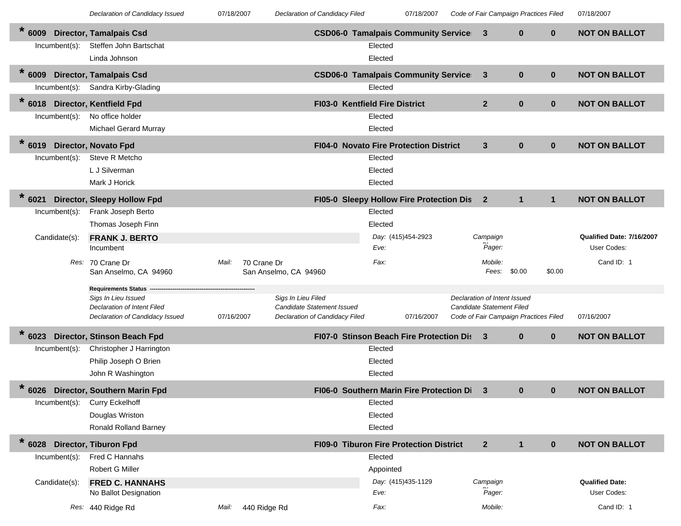| eclaration of Candidacy Issued |  |
|--------------------------------|--|
|--------------------------------|--|

07/18/2007 *Declaration of Candidacy Issued* 07/18/2007 *Declaration of Candidacy Filed Code of Fair Campaign Practices Filed* 07/18/2007

| $\ast$<br>6009   | <b>Director, Tamalpais Csd</b>                     |                      |                                                  | <b>CSD06-0 Tamalpais Community Service</b> |            | 3                                     | $\bf{0}$     | $\mathbf{0}$ | <b>NOT ON BALLOT</b>      |
|------------------|----------------------------------------------------|----------------------|--------------------------------------------------|--------------------------------------------|------------|---------------------------------------|--------------|--------------|---------------------------|
| Incumbent(s):    | Steffen John Bartschat<br>Linda Johnson            |                      |                                                  | Elected<br>Elected                         |            |                                       |              |              |                           |
| $\star$<br>6009  | <b>Director, Tamalpais Csd</b>                     |                      |                                                  | <b>CSD06-0 Tamalpais Community Service</b> |            | 3                                     | $\bf{0}$     | $\mathbf 0$  | <b>NOT ON BALLOT</b>      |
| $Incumbent(s)$ : | Sandra Kirby-Glading                               |                      |                                                  | Elected                                    |            |                                       |              |              |                           |
| $* 6018$         | <b>Director, Kentfield Fpd</b>                     |                      |                                                  | FI03-0 Kentfield Fire District             |            | $\overline{2}$                        | $\bf{0}$     | $\mathbf{0}$ | <b>NOT ON BALLOT</b>      |
| $Incumbent(s)$ : | No office holder                                   |                      |                                                  | Elected                                    |            |                                       |              |              |                           |
|                  | <b>Michael Gerard Murray</b>                       |                      |                                                  | Elected                                    |            |                                       |              |              |                           |
| $\ast$<br>6019   | <b>Director, Novato Fpd</b>                        |                      |                                                  | FI04-0 Novato Fire Protection District     |            | 3                                     | $\bf{0}$     | $\mathbf{0}$ | <b>NOT ON BALLOT</b>      |
| $Incumbent(s)$ : | Steve R Metcho                                     |                      |                                                  | Elected                                    |            |                                       |              |              |                           |
|                  | L J Silverman                                      |                      |                                                  | Elected                                    |            |                                       |              |              |                           |
|                  | Mark J Horick                                      |                      |                                                  | Elected                                    |            |                                       |              |              |                           |
| $\star$<br>6021  | <b>Director, Sleepy Hollow Fpd</b>                 |                      |                                                  | FI05-0 Sleepy Hollow Fire Protection Dis   |            | $\mathbf{2}$                          | $\mathbf{1}$ | $\mathbf{1}$ | <b>NOT ON BALLOT</b>      |
| Incumbent(s):    | Frank Joseph Berto                                 |                      |                                                  | Elected                                    |            |                                       |              |              |                           |
|                  | Thomas Joseph Finn                                 |                      |                                                  | Elected                                    |            |                                       |              |              |                           |
| Candidate(s):    | <b>FRANK J. BERTO</b>                              |                      |                                                  | Day: (415)454-2923                         |            | Campaign                              |              |              | Qualified Date: 7/16/2007 |
|                  | Incumbent                                          |                      |                                                  | Eve:                                       |            | Pager:                                |              |              | User Codes:               |
|                  | Res: 70 Crane Dr<br>San Anselmo, CA 94960          | 70 Crane Dr<br>Mail: | San Anselmo, CA 94960                            | Fax:                                       |            | Mobile:<br>Fees:                      | \$0.00       | \$0.00       | Cand ID: 1                |
|                  |                                                    |                      |                                                  |                                            |            |                                       |              |              |                           |
|                  |                                                    |                      |                                                  |                                            |            |                                       |              |              |                           |
|                  | <b>Requirements Status</b>                         |                      |                                                  |                                            |            | Declaration of Intent Issued          |              |              |                           |
|                  | Sigs In Lieu Issued<br>Declaration of Intent Filed |                      | Sigs In Lieu Filed<br>Candidate Statement Issued |                                            |            | Candidate Statement Filed             |              |              |                           |
|                  | Declaration of Candidacy Issued                    | 07/16/2007           | Declaration of Candidacy Filed                   |                                            | 07/16/2007 | Code of Fair Campaign Practices Filed |              |              | 07/16/2007                |
| $\ast$<br>6023   | Director, Stinson Beach Fpd                        |                      |                                                  | FI07-0 Stinson Beach Fire Protection Dis   |            | 3                                     | $\bf{0}$     | $\mathbf 0$  | <b>NOT ON BALLOT</b>      |
| Incumbent(s):    | Christopher J Harrington                           |                      |                                                  | Elected                                    |            |                                       |              |              |                           |
|                  | Philip Joseph O Brien                              |                      |                                                  | Elected                                    |            |                                       |              |              |                           |
|                  | John R Washington                                  |                      |                                                  | Elected                                    |            |                                       |              |              |                           |
| $\ast$<br>6026   | Director, Southern Marin Fpd                       |                      |                                                  | FI06-0 Southern Marin Fire Protection Di   |            | 3                                     | $\bf{0}$     | $\mathbf{0}$ | <b>NOT ON BALLOT</b>      |
| Incumbent(s):    | <b>Curry Eckelhoff</b>                             |                      |                                                  | Elected                                    |            |                                       |              |              |                           |
|                  | Douglas Wriston                                    |                      |                                                  | Elected                                    |            |                                       |              |              |                           |
|                  | <b>Ronald Rolland Barney</b>                       |                      |                                                  | Elected                                    |            |                                       |              |              |                           |
| $*$ 6028         | <b>Director, Tiburon Fpd</b>                       |                      |                                                  | FI09-0 Tiburon Fire Protection District    |            | $\mathbf{2}$                          | $\mathbf{1}$ | $\mathbf{0}$ | <b>NOT ON BALLOT</b>      |
| Incumbent(s):    | Fred C Hannahs                                     |                      |                                                  | Elected                                    |            |                                       |              |              |                           |
|                  | Robert G Miller                                    |                      |                                                  | Appointed                                  |            |                                       |              |              |                           |
| Candidate(s):    | <b>FRED C. HANNAHS</b>                             |                      |                                                  | Day: (415)435-1129                         |            | Campaign                              |              |              | <b>Qualified Date:</b>    |
|                  | No Ballot Designation                              |                      |                                                  | Eve:                                       |            | Pager:                                |              |              | User Codes:               |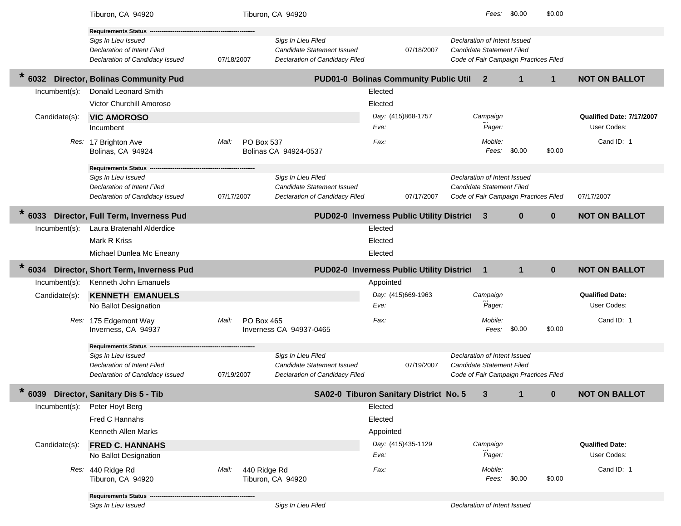|                  | Tiburon, CA 94920                                                     |                       | Tiburon, CA 94920                                            |                                                  | Fees:                                                                     | \$0.00       | \$0.00       |                           |
|------------------|-----------------------------------------------------------------------|-----------------------|--------------------------------------------------------------|--------------------------------------------------|---------------------------------------------------------------------------|--------------|--------------|---------------------------|
|                  | <b>Requirements Status</b>                                            |                       |                                                              |                                                  |                                                                           |              |              |                           |
|                  | Sigs In Lieu Issued<br>Declaration of Intent Filed                    |                       | Sigs In Lieu Filed<br>Candidate Statement Issued             | 07/18/2007                                       | Declaration of Intent Issued<br><b>Candidate Statement Filed</b>          |              |              |                           |
|                  | Declaration of Candidacy Issued                                       | 07/18/2007            | Declaration of Candidacy Filed                               |                                                  | Code of Fair Campaign Practices Filed                                     |              |              |                           |
| $\ast$<br>6032   | <b>Director, Bolinas Community Pud</b>                                |                       |                                                              | PUD01-0 Bolinas Community Public Util            | $\mathbf{2}$                                                              | $\mathbf{1}$ | $\mathbf 1$  | <b>NOT ON BALLOT</b>      |
| Incumbent(s):    | Donald Leonard Smith                                                  |                       |                                                              | Elected                                          |                                                                           |              |              |                           |
|                  | Victor Churchill Amoroso                                              |                       |                                                              | Elected                                          |                                                                           |              |              |                           |
| Candidate(s):    | <b>VIC AMOROSO</b>                                                    |                       |                                                              | Day: (415)868-1757                               | Campaign                                                                  |              |              | Qualified Date: 7/17/2007 |
|                  | Incumbent                                                             |                       |                                                              | Eve:                                             | Pager:                                                                    |              |              | User Codes:               |
|                  | Res: 17 Brighton Ave<br>Bolinas, CA 94924                             | PO Box 537<br>Mail:   | Bolinas CA 94924-0537                                        | Fax:                                             | Mobile:<br>Fees:                                                          | \$0.00       | \$0.00       | Cand ID: 1                |
|                  | <b>Requirements Status</b>                                            |                       |                                                              |                                                  |                                                                           |              |              |                           |
|                  | Sigs In Lieu Issued                                                   |                       | Sigs In Lieu Filed                                           |                                                  | Declaration of Intent Issued                                              |              |              |                           |
|                  | <b>Declaration of Intent Filed</b><br>Declaration of Candidacy Issued | 07/17/2007            | Candidate Statement Issued<br>Declaration of Candidacy Filed | 07/17/2007                                       | <b>Candidate Statement Filed</b><br>Code of Fair Campaign Practices Filed |              |              | 07/17/2007                |
|                  |                                                                       |                       |                                                              |                                                  |                                                                           |              |              |                           |
| 6033             | Director, Full Term, Inverness Pud                                    |                       |                                                              | <b>PUD02-0 Inverness Public Utility District</b> | 3                                                                         | $\bf{0}$     | $\bf{0}$     | <b>NOT ON BALLOT</b>      |
| Incumbent(s):    | Laura Bratenahl Alderdice                                             |                       |                                                              | Elected                                          |                                                                           |              |              |                           |
|                  | Mark R Kriss                                                          |                       |                                                              | Elected                                          |                                                                           |              |              |                           |
|                  | Michael Dunlea Mc Eneany                                              |                       |                                                              | Elected                                          |                                                                           |              |              |                           |
|                  |                                                                       |                       |                                                              |                                                  |                                                                           |              |              |                           |
| $\star$<br>6034  | Director, Short Term, Inverness Pud                                   |                       |                                                              | PUD02-0 Inverness Public Utility District        | $\mathbf{1}$                                                              | $\mathbf{1}$ | $\bf{0}$     | <b>NOT ON BALLOT</b>      |
| Incumbent(s):    | Kenneth John Emanuels                                                 |                       |                                                              | Appointed                                        |                                                                           |              |              |                           |
| Candidate(s):    | <b>KENNETH EMANUELS</b>                                               |                       |                                                              | Day: (415)669-1963                               | Campaign                                                                  |              |              | <b>Qualified Date:</b>    |
|                  | No Ballot Designation                                                 |                       |                                                              | Eve:                                             | Pager:                                                                    |              |              | User Codes:               |
|                  | Res: 175 Edgemont Way                                                 | PO Box 465<br>Mail:   |                                                              | Fax:                                             | Mobile:                                                                   |              |              | Cand ID: 1                |
|                  | Inverness, CA 94937                                                   |                       | Inverness CA 94937-0465                                      |                                                  | Fees:                                                                     | \$0.00       | \$0.00       |                           |
|                  | <b>Requirements Status -</b>                                          |                       |                                                              |                                                  |                                                                           |              |              |                           |
|                  | Sigs In Lieu Issued                                                   |                       | Sigs In Lieu Filed                                           |                                                  | Declaration of Intent Issued                                              |              |              |                           |
|                  | Declaration of Intent Filed<br>Declaration of Candidacy Issued        | 07/19/2007            | Candidate Statement Issued<br>Declaration of Candidacy Filed | 07/19/2007                                       | <b>Candidate Statement Filed</b><br>Code of Fair Campaign Practices Filed |              |              |                           |
| $\ast$           | 6039 Director, Sanitary Dis 5 - Tib                                   |                       |                                                              | SA02-0 Tiburon Sanitary District No. 5           | 3                                                                         |              | $\mathbf{0}$ | <b>NOT ON BALLOT</b>      |
| $Incumbent(s)$ : | Peter Hoyt Berg                                                       |                       |                                                              | Elected                                          |                                                                           |              |              |                           |
|                  | Fred C Hannahs                                                        |                       |                                                              | Elected                                          |                                                                           |              |              |                           |
|                  | Kenneth Allen Marks                                                   |                       |                                                              | Appointed                                        |                                                                           |              |              |                           |
| Candidate(s):    | <b>FRED C. HANNAHS</b>                                                |                       |                                                              | Day: (415)435-1129                               | Campaign                                                                  |              |              | <b>Qualified Date:</b>    |
|                  | No Ballot Designation                                                 |                       |                                                              | Eve:                                             | Pager:                                                                    |              |              | User Codes:               |
|                  | Res: 440 Ridge Rd<br>Tiburon, CA 94920                                | 440 Ridge Rd<br>Mail: | Tiburon, CA 94920                                            | Fax:                                             | Mobile:                                                                   | Fees: \$0.00 | \$0.00       | Cand ID: 1                |
|                  | Requirements Status -<br>Sigs In Lieu Issued                          |                       | Sigs In Lieu Filed                                           |                                                  | Declaration of Intent Issued                                              |              |              |                           |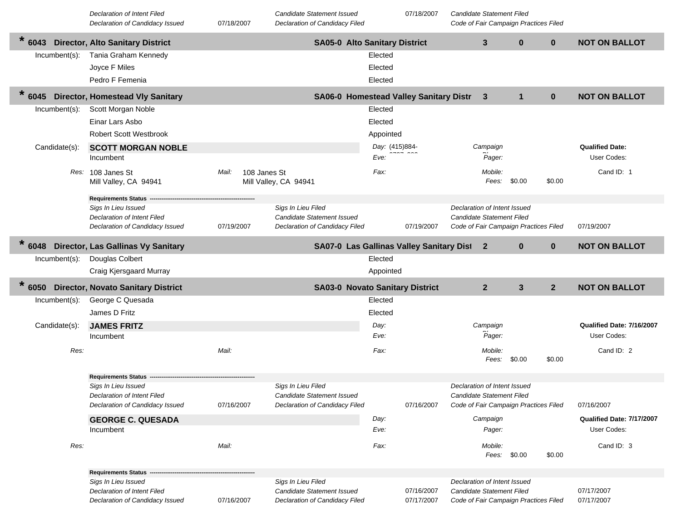|                  | <b>Declaration of Intent Filed</b><br>Declaration of Candidacy Issued | 07/18/2007            |                       | <b>Candidate Statement Issued</b><br>Declaration of Candidacy Filed |                | 07/18/2007 | <b>Candidate Statement Filed</b> | Code of Fair Campaign Practices Filed |                |                           |
|------------------|-----------------------------------------------------------------------|-----------------------|-----------------------|---------------------------------------------------------------------|----------------|------------|----------------------------------|---------------------------------------|----------------|---------------------------|
| $\ast$<br>6043   | <b>Director, Alto Sanitary District</b>                               |                       |                       | <b>SA05-0 Alto Sanitary District</b>                                |                |            | $\mathbf{3}$                     | $\bf{0}$                              | $\mathbf{0}$   | <b>NOT ON BALLOT</b>      |
| $Incumbent(s)$ : | Tania Graham Kennedy                                                  |                       |                       |                                                                     | Elected        |            |                                  |                                       |                |                           |
|                  | Joyce F Miles                                                         |                       |                       |                                                                     | Elected        |            |                                  |                                       |                |                           |
|                  | Pedro F Femenia                                                       |                       |                       |                                                                     | Elected        |            |                                  |                                       |                |                           |
| $\star$<br>6045  | <b>Director, Homestead Vly Sanitary</b>                               |                       |                       | SA06-0 Homestead Valley Sanitary Distr                              |                |            | 3                                | $\mathbf{1}$                          | $\mathbf{0}$   | <b>NOT ON BALLOT</b>      |
| Incumbent(s):    | Scott Morgan Noble                                                    |                       |                       |                                                                     | Elected        |            |                                  |                                       |                |                           |
|                  | Einar Lars Asbo                                                       |                       |                       |                                                                     | Elected        |            |                                  |                                       |                |                           |
|                  | <b>Robert Scott Westbrook</b>                                         |                       |                       |                                                                     | Appointed      |            |                                  |                                       |                |                           |
| Candidate(s):    | <b>SCOTT MORGAN NOBLE</b>                                             |                       |                       |                                                                     | Day: (415)884- |            | Campaign                         |                                       |                | <b>Qualified Date:</b>    |
|                  | Incumbent                                                             |                       |                       |                                                                     | Eve:           |            | Pager:                           |                                       |                | User Codes:               |
|                  | Res: 108 Janes St<br>Mill Valley, CA 94941                            | Mail:<br>108 Janes St | Mill Valley, CA 94941 |                                                                     | Fax:           |            | Mobile:<br>Fees:                 | \$0.00                                | \$0.00         | Cand ID: 1                |
|                  | <b>Requirements Status</b>                                            |                       |                       |                                                                     |                |            |                                  |                                       |                |                           |
|                  | Sigs In Lieu Issued                                                   |                       | Sigs In Lieu Filed    |                                                                     |                |            | Declaration of Intent Issued     |                                       |                |                           |
|                  | <b>Declaration of Intent Filed</b><br>Declaration of Candidacy Issued | 07/19/2007            |                       | Candidate Statement Issued<br>Declaration of Candidacy Filed        |                | 07/19/2007 | <b>Candidate Statement Filed</b> | Code of Fair Campaign Practices Filed |                | 07/19/2007                |
|                  |                                                                       |                       |                       |                                                                     |                |            |                                  |                                       |                |                           |
| $\star$<br>6048  | <b>Director, Las Gallinas Vy Sanitary</b>                             |                       |                       | SA07-0 Las Gallinas Valley Sanitary Dist                            |                |            | $\mathbf{2}$                     | $\bf{0}$                              | $\mathbf{0}$   | <b>NOT ON BALLOT</b>      |
| Incumbent(s):    | Douglas Colbert                                                       |                       |                       |                                                                     | Elected        |            |                                  |                                       |                |                           |
|                  | Craig Kjersgaard Murray                                               |                       |                       |                                                                     | Appointed      |            |                                  |                                       |                |                           |
| $* 6050$         | <b>Director, Novato Sanitary District</b>                             |                       |                       | <b>SA03-0 Novato Sanitary District</b>                              |                |            | $\overline{2}$                   | $\mathbf{3}$                          | 2 <sup>2</sup> | <b>NOT ON BALLOT</b>      |
| Incumbent(s):    | George C Quesada                                                      |                       |                       |                                                                     | Elected        |            |                                  |                                       |                |                           |
|                  | James D Fritz                                                         |                       |                       |                                                                     | Elected        |            |                                  |                                       |                |                           |
| Candidate(s):    | <b>JAMES FRITZ</b>                                                    |                       |                       |                                                                     | Day:           |            | Campaign                         |                                       |                | Qualified Date: 7/16/2007 |
|                  | Incumbent                                                             |                       |                       |                                                                     | Eve:           |            | Pager:                           |                                       |                | User Codes:               |
| Res:             |                                                                       | Mail:                 |                       |                                                                     | Fax:           |            | Mobile:                          |                                       |                | Cand ID: 2                |
|                  |                                                                       |                       |                       |                                                                     |                |            | Fees:                            | \$0.00                                | \$0.00         |                           |
|                  | <b>Requirements Status</b>                                            |                       |                       |                                                                     |                |            |                                  |                                       |                |                           |
|                  | Sigs In Lieu Issued                                                   |                       | Sigs In Lieu Filed    |                                                                     |                |            | Declaration of Intent Issued     |                                       |                |                           |
|                  | Declaration of Intent Filed<br>Declaration of Candidacy Issued        | 07/16/2007            |                       | Candidate Statement Issued<br>Declaration of Candidacy Filed        |                | 07/16/2007 | Candidate Statement Filed        | Code of Fair Campaign Practices Filed |                | 07/16/2007                |
|                  | <b>GEORGE C. QUESADA</b>                                              |                       |                       |                                                                     | Day:           |            | Campaign                         |                                       |                | Qualified Date: 7/17/2007 |
|                  | Incumbent                                                             |                       |                       |                                                                     | Eve:           |            | Pager:                           |                                       |                | User Codes:               |
|                  |                                                                       |                       |                       |                                                                     |                |            |                                  |                                       |                |                           |
| Res:             |                                                                       | Mail:                 |                       |                                                                     | Fax:           |            | Mobile:<br>Fees: \$0.00          |                                       | \$0.00         | Cand ID: 3                |
|                  |                                                                       |                       |                       |                                                                     |                |            |                                  |                                       |                |                           |
|                  | <b>Requirements Status -</b><br>Sigs In Lieu Issued                   |                       | Sigs In Lieu Filed    |                                                                     |                |            | Declaration of Intent Issued     |                                       |                |                           |
|                  | <b>Declaration of Intent Filed</b>                                    |                       |                       | Candidate Statement Issued                                          |                | 07/16/2007 | <b>Candidate Statement Filed</b> |                                       |                | 07/17/2007                |
|                  | Declaration of Candidacy Issued                                       | 07/16/2007            |                       | Declaration of Candidacy Filed                                      |                | 07/17/2007 |                                  | Code of Fair Campaign Practices Filed |                | 07/17/2007                |

Г

I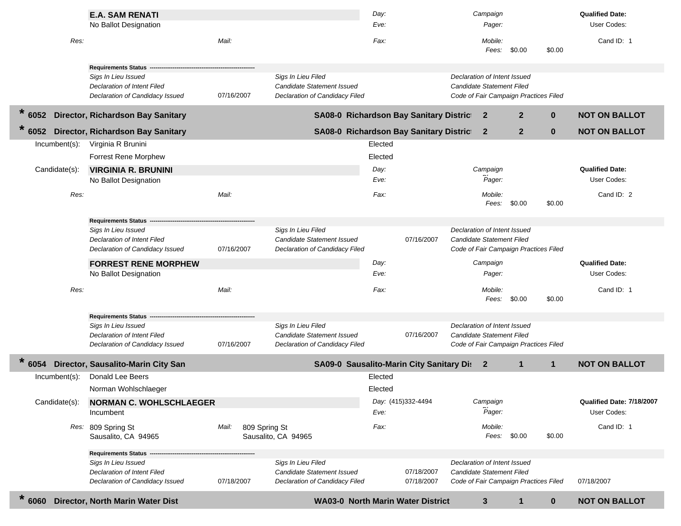|               | <b>E.A. SAM RENATI</b>                                         |                        |                                                              | Day:<br>Eve: |                                            |                              | Campaign<br>Pager: |                                       |              | <b>Qualified Date:</b><br>User Codes: |
|---------------|----------------------------------------------------------------|------------------------|--------------------------------------------------------------|--------------|--------------------------------------------|------------------------------|--------------------|---------------------------------------|--------------|---------------------------------------|
|               | No Ballot Designation                                          |                        |                                                              |              |                                            |                              |                    |                                       |              |                                       |
| Res:          |                                                                | Mail:                  |                                                              | Fax:         |                                            |                              | Mobile:<br>Fees:   | \$0.00                                | \$0.00       | Cand ID: 1                            |
|               | <b>Requirements Status -</b>                                   |                        |                                                              |              |                                            |                              |                    |                                       |              |                                       |
|               | Sigs In Lieu Issued                                            |                        | Sigs In Lieu Filed                                           |              |                                            | Declaration of Intent Issued |                    |                                       |              |                                       |
|               | Declaration of Intent Filed                                    |                        | Candidate Statement Issued                                   |              |                                            | Candidate Statement Filed    |                    |                                       |              |                                       |
|               | Declaration of Candidacy Issued                                | 07/16/2007             | Declaration of Candidacy Filed                               |              |                                            |                              |                    | Code of Fair Campaign Practices Filed |              |                                       |
| $*$ 6052      | Director, Richardson Bay Sanitary                              |                        |                                                              |              | SA08-0 Richardson Bay Sanitary District    |                              | $\mathbf{2}$       | $\mathbf{2}$                          | $\bf{0}$     | <b>NOT ON BALLOT</b>                  |
| 6052          | Director, Richardson Bay Sanitary                              |                        |                                                              |              | SA08-0 Richardson Bay Sanitary District    |                              | $\mathbf{2}$       | $\mathbf{2}$                          | $\bf{0}$     | <b>NOT ON BALLOT</b>                  |
| Incumbent(s): | Virginia R Brunini                                             |                        |                                                              | Elected      |                                            |                              |                    |                                       |              |                                       |
|               | <b>Forrest Rene Morphew</b>                                    |                        |                                                              | Elected      |                                            |                              |                    |                                       |              |                                       |
| Candidate(s): | <b>VIRGINIA R. BRUNINI</b>                                     |                        |                                                              | Day:         |                                            |                              | Campaign           |                                       |              | <b>Qualified Date:</b>                |
|               | No Ballot Designation                                          |                        |                                                              | Eve:         |                                            |                              | Pager:             |                                       |              | User Codes:                           |
| Res:          |                                                                | Mail:                  |                                                              | Fax:         |                                            |                              | Mobile:<br>Fees:   | \$0.00                                | \$0.00       | Cand ID: 2                            |
|               | Requirements Status --                                         |                        |                                                              |              |                                            |                              |                    |                                       |              |                                       |
|               | Sigs In Lieu Issued                                            |                        | Sigs In Lieu Filed                                           |              |                                            | Declaration of Intent Issued |                    |                                       |              |                                       |
|               | Declaration of Intent Filed                                    |                        | Candidate Statement Issued                                   |              | 07/16/2007                                 | Candidate Statement Filed    |                    |                                       |              |                                       |
|               | Declaration of Candidacy Issued                                | 07/16/2007             | Declaration of Candidacy Filed                               |              |                                            |                              |                    | Code of Fair Campaign Practices Filed |              |                                       |
|               | <b>FORREST RENE MORPHEW</b>                                    |                        |                                                              | Day:         |                                            |                              | Campaign           |                                       |              | <b>Qualified Date:</b>                |
|               | No Ballot Designation                                          |                        |                                                              | Eve:         |                                            |                              | Pager:             |                                       |              | User Codes:                           |
| Res:          |                                                                | Mail:                  |                                                              | Fax:         |                                            |                              | Mobile:            |                                       |              | Cand ID: 1                            |
|               |                                                                |                        |                                                              |              |                                            |                              | Fees:              | \$0.00                                | \$0.00       |                                       |
|               |                                                                |                        |                                                              |              |                                            |                              |                    |                                       |              |                                       |
|               | <b>Requirements Status</b><br>Sigs In Lieu Issued              |                        | Sigs In Lieu Filed                                           |              |                                            | Declaration of Intent Issued |                    |                                       |              |                                       |
|               | Declaration of Intent Filed                                    |                        | Candidate Statement Issued                                   |              | 07/16/2007                                 | Candidate Statement Filed    |                    |                                       |              |                                       |
|               | Declaration of Candidacy Issued                                | 07/16/2007             | Declaration of Candidacy Filed                               |              |                                            |                              |                    | Code of Fair Campaign Practices Filed |              |                                       |
| 6054          | Director, Sausalito-Marin City San                             |                        |                                                              |              | SA09-0 Sausalito-Marin City Sanitary Di: 2 |                              |                    | $\mathbf{1}$                          | $\mathbf{1}$ | <b>NOT ON BALLOT</b>                  |
| Incumbent(s): | Donald Lee Beers                                               |                        |                                                              | Elected      |                                            |                              |                    |                                       |              |                                       |
|               | Norman Wohlschlaeger                                           |                        |                                                              | Elected      |                                            |                              |                    |                                       |              |                                       |
| Candidate(s): | <b>NORMAN C. WOHLSCHLAEGER</b>                                 |                        |                                                              |              | Day: (415)332-4494                         |                              | Campaign           |                                       |              | Qualified Date: 7/18/2007             |
|               | Incumbent                                                      |                        |                                                              | Eve:         |                                            |                              | Pager:             |                                       |              | User Codes:                           |
|               | Res: 809 Spring St                                             | Mail:<br>809 Spring St |                                                              | Fax:         |                                            |                              | Mobile:            |                                       |              | Cand ID: 1                            |
|               | Sausalito, CA 94965                                            |                        | Sausalito, CA 94965                                          |              |                                            |                              | Fees:              | \$0.00                                | \$0.00       |                                       |
|               | Requirements Status -                                          |                        |                                                              |              |                                            |                              |                    |                                       |              |                                       |
|               | Sigs In Lieu Issued                                            |                        | Sigs In Lieu Filed                                           |              |                                            | Declaration of Intent Issued |                    |                                       |              |                                       |
|               | Declaration of Intent Filed<br>Declaration of Candidacy Issued |                        | Candidate Statement Issued<br>Declaration of Candidacy Filed |              | 07/18/2007                                 | Candidate Statement Filed    |                    | Code of Fair Campaign Practices Filed |              |                                       |
|               |                                                                | 07/18/2007             |                                                              |              | 07/18/2007                                 |                              |                    |                                       |              | 07/18/2007                            |
| $* 6060$      | Director, North Marin Water Dist                               |                        |                                                              |              | <b>WA03-0 North Marin Water District</b>   |                              | $\mathbf{3}$       |                                       | $\mathbf 0$  | <b>NOT ON BALLOT</b>                  |